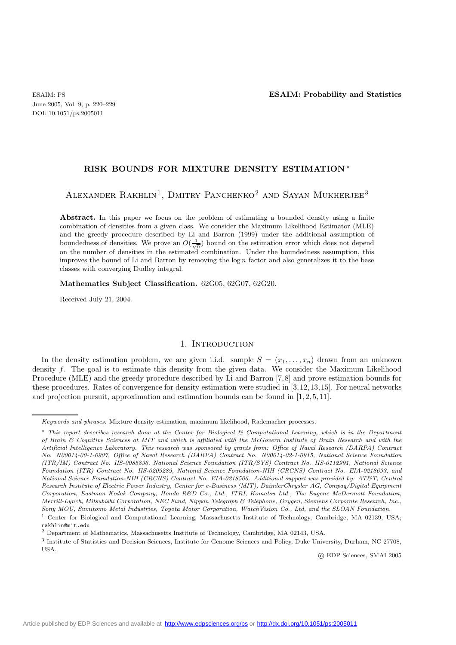June 2005, Vol. 9, p. 220–229 DOI: 10.1051/ps:2005011

# **RISK BOUNDS FOR MIXTURE DENSITY ESTIMATION** ∗

ALEXANDER RAKHLIN<sup>1</sup>, DMITRY PANCHENKO<sup>2</sup> AND SAYAN MUKHERJEE<sup>3</sup>

Abstract. In this paper we focus on the problem of estimating a bounded density using a finite combination of densities from a given class. We consider the Maximum Likelihood Estimator (MLE) and the greedy procedure described by Li and Barron (1999) under the additional assumption of boundedness of densities. We prove an  $O(\frac{1}{\sqrt{n}})$  bound on the estimation error which does not depend on the number of densities in the estimated combination. Under the boundedness assumption, this improves the bound of Li and Barron by removing the log *n* factor and also generalizes it to the base classes with converging Dudley integral.

**Mathematics Subject Classification.** 62G05, 62G07, 62G20.

Received July 21, 2004.

## 1. INTRODUCTION

In the density estimation problem, we are given i.i.d. sample  $S = (x_1, \ldots, x_n)$  drawn from an unknown density f. The goal is to estimate this density from the given data. We consider the Maximum Likelihood Procedure (MLE) and the greedy procedure described by Li and Barron [7, 8] and prove estimation bounds for these procedures. Rates of convergence for density estimation were studied in [3,12,13,15]. For neural networks and projection pursuit, approximation and estimation bounds can be found in  $[1, 2, 5, 11]$ .

-c EDP Sciences, SMAI 2005

Keywords and phrases. Mixture density estimation, maximum likelihood, Rademacher processes.

<sup>∗</sup> This report describes research done at the Center for Biological & Computational Learning, which is in the Department of Brain & Cognitive Sciences at MIT and which is affiliated with the McGovern Institute of Brain Research and with the Artificial Intelligence Laboratory. This research was sponsored by grants from: Office of Naval Research (DARPA) Contract No. N00014-00-1-0907, Office of Naval Research (DARPA) Contract No. N00014-02-1-0915, National Science Foundation (ITR/IM) Contract No. IIS-0085836, National Science Foundation (ITR/SYS) Contract No. IIS-0112991, National Science Foundation (ITR) Contract No. IIS-0209289, National Science Foundation-NIH (CRCNS) Contract No. EIA-0218693, and National Science Foundation-NIH (CRCNS) Contract No. EIA-0218506. Additional support was provided by: AT&T, Central Research Institute of Electric Power Industry, Center for e-Business (MIT), DaimlerChrysler AG, Compaq/Digital Equipment Corporation, Eastman Kodak Company, Honda R&D Co., Ltd., ITRI, Komatsu Ltd., The Eugene McDermott Foundation, Merrill-Lynch, Mitsubishi Corporation, NEC Fund, Nippon Telegraph & Telephone, Oxygen, Siemens Corporate Research, Inc., Sony MOU, Sumitomo Metal Industries, Toyota Motor Corporation, WatchVision Co., Ltd, and the SLOAN Foundation.

<sup>&</sup>lt;sup>1</sup> Center for Biological and Computational Learning, Massachusetts Institute of Technology, Cambridge, MA 02139, USA; rakhlin@mit.edu

<sup>2</sup> Department of Mathematics, Massachusetts Institute of Technology, Cambridge, MA 02143, USA.

<sup>3</sup> Institute of Statistics and Decision Sciences, Institute for Genome Sciences and Policy, Duke University, Durham, NC 27708, USA.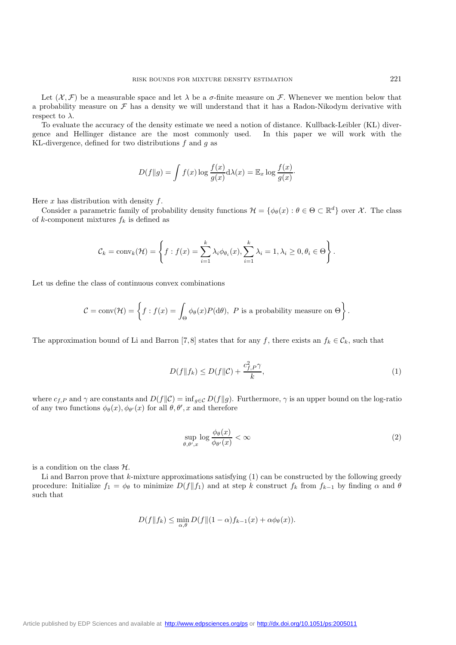Let  $(\mathcal{X}, \mathcal{F})$  be a measurable space and let  $\lambda$  be a  $\sigma$ -finite measure on  $\mathcal{F}$ . Whenever we mention below that a probability measure on  $\mathcal F$  has a density we will understand that it has a Radon-Nikodym derivative with respect to  $\lambda$ .

To evaluate the accuracy of the density estimate we need a notion of distance. Kullback-Leibler (KL) divergence and Hellinger distance are the most commonly used. In this paper we will work with the KL-divergence, defined for two distributions  $f$  and  $g$  as

$$
D(f||g) = \int f(x) \log \frac{f(x)}{g(x)} d\lambda(x) = \mathbb{E}_x \log \frac{f(x)}{g(x)}.
$$

Here  $x$  has distribution with density  $f$ .

Consider a parametric family of probability density functions  $\mathcal{H} = \{\phi_{\theta}(x) : \theta \in \Theta \subset \mathbb{R}^d\}$  over X. The class of k-component mixtures  $f_k$  is defined as

$$
\mathcal{C}_k = \text{conv}_k(\mathcal{H}) = \left\{ f : f(x) = \sum_{i=1}^k \lambda_i \phi_{\theta_i}(x), \sum_{i=1}^k \lambda_i = 1, \lambda_i \ge 0, \theta_i \in \Theta \right\}.
$$

Let us define the class of continuous convex combinations

$$
C = \text{conv}(\mathcal{H}) = \left\{ f : f(x) = \int_{\Theta} \phi_{\theta}(x) P(\mathrm{d}\theta), \ P \text{ is a probability measure on } \Theta \right\}.
$$

The approximation bound of Li and Barron [7,8] states that for any f, there exists an  $f_k \in \mathcal{C}_k$ , such that

$$
D(f||f_k) \le D(f||\mathcal{C}) + \frac{c_{f,P}^2 \gamma}{k},\tag{1}
$$

where  $c_{f,P}$  and  $\gamma$  are constants and  $D(f||\mathcal{C}) = \inf_{g \in \mathcal{C}} D(f||g)$ . Furthermore,  $\gamma$  is an upper bound on the log-ratio of any two functions  $\phi_{\theta}(x), \phi_{\theta}(x)$  for all  $\theta, \theta', x$  and therefore

$$
\sup_{\theta,\theta',x} \log \frac{\phi_{\theta}(x)}{\phi_{\theta'}(x)} < \infty \tag{2}
$$

is a condition on the class  $H$ .

Li and Barron prove that k-mixture approximations satisfying (1) can be constructed by the following greedy procedure: Initialize  $f_1 = \phi_\theta$  to minimize  $D(f||f_1)$  and at step k construct  $f_k$  from  $f_{k-1}$  by finding  $\alpha$  and  $\theta$ such that

$$
D(f||f_k) \le \min_{\alpha,\theta} D(f||(1-\alpha)f_{k-1}(x) + \alpha\phi_\theta(x)).
$$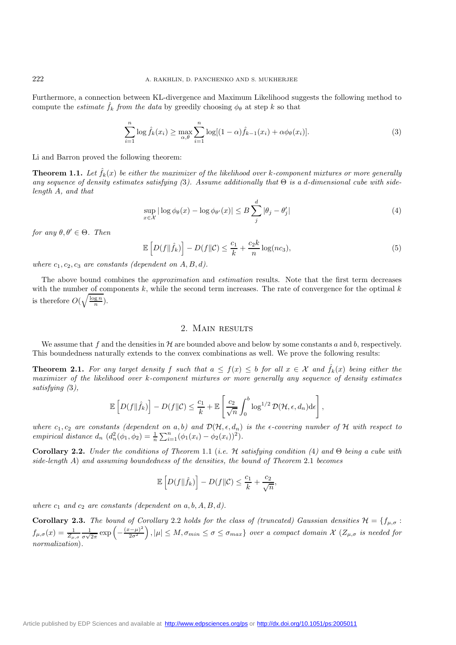Furthermore, a connection between KL-divergence and Maximum Likelihood suggests the following method to compute the *estimate*  $\hat{f}_k$  *from the data* by greedily choosing  $\phi_\theta$  at step k so that

$$
\sum_{i=1}^{n} \log \hat{f}_k(x_i) \ge \max_{\alpha,\theta} \sum_{i=1}^{n} \log[(1-\alpha)\hat{f}_{k-1}(x_i) + \alpha\phi_\theta(x_i)].\tag{3}
$$

Li and Barron proved the following theorem:

**Theorem 1.1.** Let  $\hat{f}_k(x)$  be either the maximizer of the likelihood over k-component mixtures or more generally *any sequence of density estimates satisfying (*3*). Assume additionally that* Θ *is a* d*-dimensional cube with sidelength* A*, and that*

$$
\sup_{x \in \mathcal{X}} |\log \phi_{\theta}(x) - \log \phi_{\theta'}(x)| \leq B \sum_{j}^{d} |\theta_j - \theta'_j| \tag{4}
$$

 $for any  $\theta, \theta' \in \Theta$ . Then$ 

$$
\mathbb{E}\left[D(f\|\hat{f}_k)\right] - D(f\|\mathcal{C}) \le \frac{c_1}{k} + \frac{c_2 k}{n} \log(n c_3),\tag{5}
$$

*where*  $c_1, c_2, c_3$  *are constants (dependent on*  $A, B, d$ ).

The above bound combines the *approximation* and *estimation* results. Note that the first term decreases with the number of components  $k$ , while the second term increases. The rate of convergence for the optimal  $k$ is therefore  $O(\sqrt{\frac{\log n}{n}})$ .

#### 2. Main results

We assume that f and the densities in  $H$  are bounded above and below by some constants a and b, respectively. This boundedness naturally extends to the convex combinations as well. We prove the following results:

**Theorem 2.1.** For any target density f such that  $a \leq f(x) \leq b$  for all  $x \in \mathcal{X}$  and  $\hat{f}_k(x)$  being either the *maximizer of the likelihood over* k*-component mixtures or more generally any sequence of density estimates satisfying (*3*),*

$$
\mathbb{E}\left[D(f\|\hat{f}_k)\right] - D(f\|\mathcal{C}) \leq \frac{c_1}{k} + \mathbb{E}\left[\frac{c_2}{\sqrt{n}} \int_0^b \log^{1/2} \mathcal{D}(\mathcal{H}, \epsilon, d_n) d\epsilon\right],
$$

*where*  $c_1, c_2$  are constants (dependent on a,b) and  $\mathcal{D}(\mathcal{H}, \epsilon, d_n)$  is the  $\epsilon$ -covering number of H with respect to *empirical distance*  $d_n$   $(d_n^2(\phi_1, \phi_2) = \frac{1}{n} \sum_{i=1}^n (\phi_1(x_i) - \phi_2(x_i))^2)$ .

**Corollary 2.2.** *Under the conditions of Theorem* 1.1 (*i.e.* H *satisfying condition (*4*) and* Θ *being a cube with side-length* A) *and assuming boundedness of the densities, the bound of Theorem* 2.1 *becomes*

$$
\mathbb{E}\left[D(f\|\hat{f}_k)\right] - D(f\|\mathcal{C}) \le \frac{c_1}{k} + \frac{c_2}{\sqrt{n}},
$$

*where*  $c_1$  *and*  $c_2$  *are constants (dependent on*  $a, b, A, B, d$ ).

**Corollary 2.3.** *The bound of Corollary* 2.2 *holds for the class of (truncated) Gaussian densities*  $H = \{f_{\mu,\sigma} :$  $f_{\mu,\sigma}(x) = \frac{1}{Z_{\mu,\sigma}} \frac{1}{\sigma \sqrt{x}}$  $\frac{1}{\sigma\sqrt{2\pi}}\exp\left(-\frac{(x-\mu)^2}{2\sigma^2}\right), |\mu|\leq M, \sigma_{min}\leq \sigma \leq \sigma_{max}\}$  *over a compact domain*  $\mathcal{X}$  ( $Z_{\mu,\sigma}$  *is needed for normalization*)*.*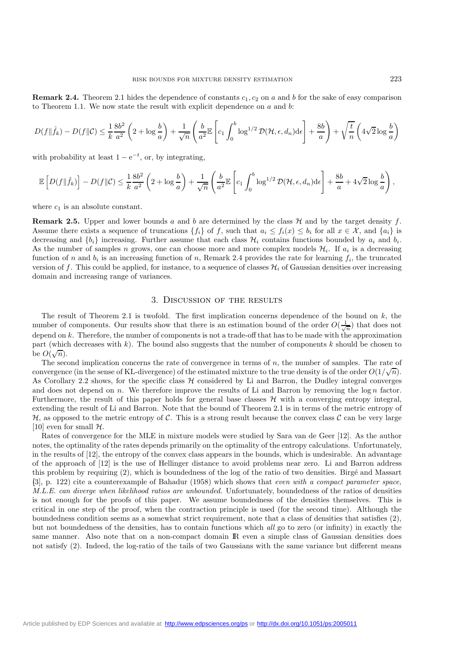**Remark 2.4.** Theorem 2.1 hides the dependence of constants  $c_1$ ,  $c_2$  on a and b for the sake of easy comparison to Theorem 1.1. We now state the result with explicit dependence on  $a$  and  $b$ :

$$
D(f||\hat{f}_k) - D(f||\mathcal{C}) \le \frac{1}{k} \frac{8b^2}{a^2} \left(2 + \log \frac{b}{a}\right) + \frac{1}{\sqrt{n}} \left(\frac{b}{a^2} \mathbb{E}\left[c_1 \int_0^b \log^{1/2} \mathcal{D}(\mathcal{H}, \epsilon, d_n) d\epsilon\right] + \frac{8b}{a}\right) + \sqrt{\frac{t}{n}} \left(4\sqrt{2} \log \frac{b}{a}\right)
$$

with probability at least  $1 - e^{-t}$ , or, by integrating,

$$
\mathbb{E}\left[D(f\|\hat{f}_k)\right] - D(f\|\mathcal{C}) \le \frac{1}{k} \frac{8b^2}{a^2} \left(2 + \log \frac{b}{a}\right) + \frac{1}{\sqrt{n}} \left(\frac{b}{a^2} \mathbb{E}\left[c_1 \int_0^b \log^{1/2} \mathcal{D}(\mathcal{H}, \epsilon, d_n) d\epsilon\right] + \frac{8b}{a} + 4\sqrt{2} \log \frac{b}{a}\right),
$$

where  $c_1$  is an absolute constant.

**Remark 2.5.** Upper and lower bounds a and b are determined by the class  $H$  and by the target density f. Assume there exists a sequence of truncations  $\{f_i\}$  of f, such that  $a_i \leq f_i(x) \leq b_i$  for all  $x \in \mathcal{X}$ , and  $\{a_i\}$  is decreasing and  $\{b_i\}$  increasing. Further assume that each class  $\mathcal{H}_i$  contains functions bounded by  $a_i$  and  $b_i$ . As the number of samples n grows, one can choose more and more complex models  $\mathcal{H}_i$ . If  $a_i$  is a decreasing function of n and  $b_i$  is an increasing function of n, Remark 2.4 provides the rate for learning  $f_i$ , the truncated version of f. This could be applied, for instance, to a sequence of classes  $\mathcal{H}_i$  of Gaussian densities over increasing domain and increasing range of variances.

### 3. Discussion of the results

The result of Theorem 2.1 is twofold. The first implication concerns dependence of the bound on  $k$ , the number of components. Our results show that there is an estimation bound of the order  $O(\frac{1}{\sqrt{n}})$  that does not depend on k. Therefore, the number of components is not a trade-off that has to be made with the approximation part (which decreases with k). The bound also suggests that the number of components k should be chosen to part (wind).<br>be  $O(\sqrt{n})$ .

The second implication concerns the rate of convergence in terms of  $n$ , the number of samples. The rate of The second implication concerns the rate of convergence in terms of *n*, the number of samples. The rate of convergence (in the sense of KL-divergence) of the estimated mixture to the true density is of the order  $O(1/\sqrt{n})$ As Corollary 2.2 shows, for the specific class  $H$  considered by Li and Barron, the Dudley integral converges and does not depend on n. We therefore improve the results of Li and Barron by removing the  $\log n$  factor. Furthermore, the result of this paper holds for general base classes  $H$  with a converging entropy integral, extending the result of Li and Barron. Note that the bound of Theorem 2.1 is in terms of the metric entropy of  $H$ , as opposed to the metric entropy of C. This is a strong result because the convex class C can be very large [10] even for small  $H$ .

Rates of convergence for the MLE in mixture models were studied by Sara van de Geer [12]. As the author notes, the optimality of the rates depends primarily on the optimality of the entropy calculations. Unfortunately, in the results of [12], the entropy of the convex class appears in the bounds, which is undesirable. An advantage of the approach of [12] is the use of Hellinger distance to avoid problems near zero. Li and Barron address this problem by requiring (2), which is boundedness of the log of the ratio of two densities. Birg´e and Massart ([3], p. 122) cite a counterexample of Bahadur (1958) which shows that *even with a compact parameter space, M.L.E. can diverge when likelihood ratios are unbounded.* Unfortunately, boundedness of the ratios of densities is not enough for the proofs of this paper. We assume boundedness of the densities themselves. This is critical in one step of the proof, when the contraction principle is used (for the second time). Although the boundedness condition seems as a somewhat strict requirement, note that a class of densities that satisfies (2), but not boundedness of the densities, has to contain functions which *all* go to zero (or infinity) in exactly the same manner. Also note that on a non-compact domain IR even a simple class of Gaussian densities does not satisfy (2). Indeed, the log-ratio of the tails of two Gaussians with the same variance but different means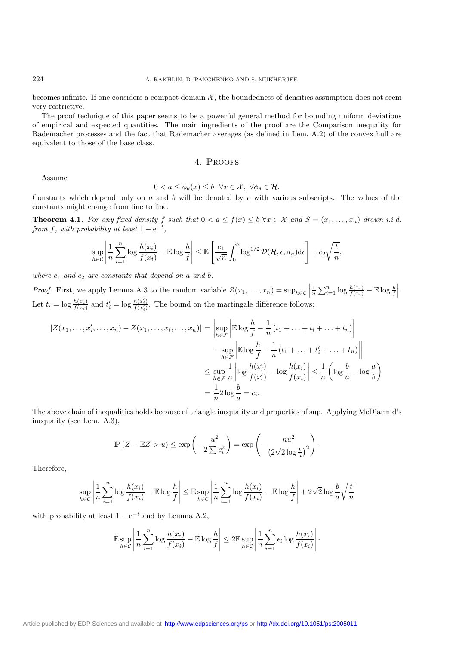becomes infinite. If one considers a compact domain  $\mathcal{X}$ , the boundedness of densities assumption does not seem very restrictive.

The proof technique of this paper seems to be a powerful general method for bounding uniform deviations of empirical and expected quantities. The main ingredients of the proof are the Comparison inequality for Rademacher processes and the fact that Rademacher averages (as defined in Lem. A.2) of the convex hull are equivalent to those of the base class.

### 4. Proofs

Assume

$$
0 < a \le \phi_{\theta}(x) \le b \quad \forall x \in \mathcal{X}, \ \forall \phi_{\theta} \in \mathcal{H}.
$$

Constants which depend only on a and b will be denoted by c with various subscripts. The values of the constants might change from line to line.

**Theorem 4.1.** For any fixed density f such that  $0 < a \leq f(x) \leq b \ \forall x \in \mathcal{X}$  and  $S = (x_1, \ldots, x_n)$  drawn i.i.d. *from* f, with probability at least  $1 - e^{-t}$ ,

$$
\sup_{h \in \mathcal{C}} \left| \frac{1}{n} \sum_{i=1}^n \log \frac{h(x_i)}{f(x_i)} - \mathbb{E} \log \frac{h}{f} \right| \leq \mathbb{E} \left[ \frac{c_1}{\sqrt{n}} \int_0^b \log^{1/2} \mathcal{D}(\mathcal{H}, \epsilon, d_n) d\epsilon \right] + c_2 \sqrt{\frac{t}{n}},
$$

where  $c_1$  and  $c_2$  are constants that depend on a and b.

*Proof.* First, we apply Lemma A.3 to the random variable  $Z(x_1, \ldots, x_n) = \sup_{h \in \mathcal{C}} \left| \frac{1}{n} \sum_{i=1}^n \log \frac{h(x_i)}{f(x_i)} - \mathbb{E} \log \frac{h}{f} \right|$ . Let  $t_i = \log \frac{h(x_i)}{f(x_i)}$  and  $t'_i = \log \frac{h(x'_i)}{f(x'_i)}$ . The bound on the martingale difference follows:

$$
|Z(x_1, \ldots, x_i', \ldots, x_n) - Z(x_1, \ldots, x_i, \ldots, x_n)| = \left| \sup_{h \in \mathcal{F}} \left| \mathbb{E} \log \frac{h}{f} - \frac{1}{n} (t_1 + \ldots + t_i + \ldots + t_n) \right| - \sup_{h \in \mathcal{F}} \left| \mathbb{E} \log \frac{h}{f} - \frac{1}{n} (t_1 + \ldots + t_i' + \ldots + t_n) \right| \right|
$$
  

$$
\leq \sup_{h \in \mathcal{F}} \frac{1}{n} \left| \log \frac{h(x_i')}{f(x_i')} - \log \frac{h(x_i)}{f(x_i)} \right| \leq \frac{1}{n} \left( \log \frac{b}{a} - \log \frac{a}{b} \right)
$$
  

$$
= \frac{1}{n} 2 \log \frac{b}{a} = c_i.
$$

The above chain of inequalities holds because of triangle inequality and properties of sup. Applying McDiarmid's inequality (see Lem. A.3),

$$
\mathbb{P}\left(Z - \mathbb{E}Z > u\right) \le \exp\left(-\frac{u^2}{2\sum c_i^2}\right) = \exp\left(-\frac{nu^2}{\left(2\sqrt{2}\log\frac{b}{a}\right)^2}\right).
$$

Therefore,

$$
\sup_{h \in \mathcal{C}} \left| \frac{1}{n} \sum_{i=1}^n \log \frac{h(x_i)}{f(x_i)} - \mathbb{E} \log \frac{h}{f} \right| \le \mathbb{E} \sup_{h \in \mathcal{C}} \left| \frac{1}{n} \sum_{i=1}^n \log \frac{h(x_i)}{f(x_i)} - \mathbb{E} \log \frac{h}{f} \right| + 2\sqrt{2} \log \frac{b}{a} \sqrt{\frac{t}{n}}
$$

with probability at least  $1 - e^{-t}$  and by Lemma A.2,

$$
\mathbb{E}\sup_{h\in\mathcal{C}}\left|\frac{1}{n}\sum_{i=1}^n\log\frac{h(x_i)}{f(x_i)}-\mathbb{E}\log\frac{h}{f}\right|\leq 2\mathbb{E}\sup_{h\in\mathcal{C}}\left|\frac{1}{n}\sum_{i=1}^n\epsilon_i\log\frac{h(x_i)}{f(x_i)}\right|.
$$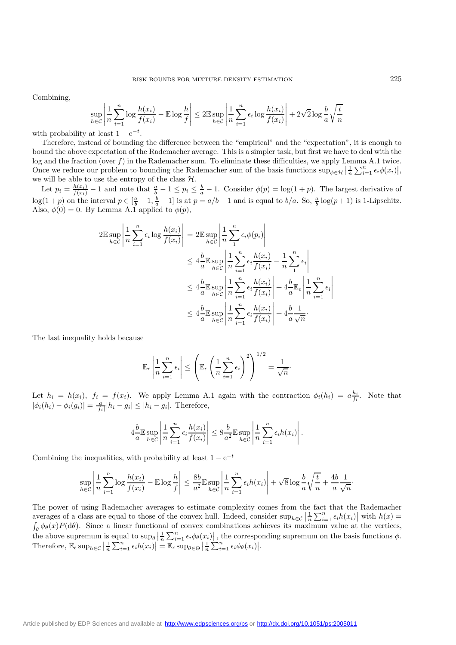Combining,

$$
\sup_{h \in \mathcal{C}} \left| \frac{1}{n} \sum_{i=1}^n \log \frac{h(x_i)}{f(x_i)} - \mathbb{E} \log \frac{h}{f} \right| \le 2 \mathbb{E} \sup_{h \in \mathcal{C}} \left| \frac{1}{n} \sum_{i=1}^n \epsilon_i \log \frac{h(x_i)}{f(x_i)} \right| + 2\sqrt{2} \log \frac{b}{a} \sqrt{\frac{t}{n}}
$$

with probability at least  $1 - e^{-t}$ .

Therefore, instead of bounding the difference between the "empirical" and the "expectation", it is enough to bound the above expectation of the Rademacher average. This is a simpler task, but first we have to deal with the log and the fraction (over  $f$ ) in the Rademacher sum. To eliminate these difficulties, we apply Lemma A.1 twice. Once we reduce our problem to bounding the Rademacher sum of the basis functions  $\sup_{\phi \in \mathcal{H}} \left| \frac{1}{n} \sum_{i=1}^n \epsilon_i \phi(x_i) \right|$ we will be able to use the entropy of the class  $\mathcal{H}.$ 

Let  $p_i = \frac{h(x_i)}{f(x_i)} - 1$  and note that  $\frac{a}{b} - 1 \le p_i \le \frac{b}{a} - 1$ . Consider  $\phi(p) = \log(1+p)$ . The largest derivative of  $\log(1+p)$  on the interval  $p \in \left[\frac{a}{b}-1, \frac{b}{a}-1\right]$  is at  $p = a/b-1$  and is equal to  $b/a$ . So,  $\frac{a}{b} \log(p+1)$  is 1-Lipschitz. Also,  $\phi(0) = 0$ . By Lemma A.1 applied to  $\phi(p)$ ,

$$
2\mathbb{E} \sup_{h \in \mathcal{C}} \left| \frac{1}{n} \sum_{i=1}^{n} \epsilon_{i} \log \frac{h(x_{i})}{f(x_{i})} \right| = 2\mathbb{E} \sup_{h \in \mathcal{C}} \left| \frac{1}{n} \sum_{1}^{n} \epsilon_{i} \phi(p_{i}) \right|
$$
  
\n
$$
\leq 4 \frac{b}{a} \mathbb{E} \sup_{h \in \mathcal{C}} \left| \frac{1}{n} \sum_{i=1}^{n} \epsilon_{i} \frac{h(x_{i})}{f(x_{i})} - \frac{1}{n} \sum_{1}^{n} \epsilon_{i} \right|
$$
  
\n
$$
\leq 4 \frac{b}{a} \mathbb{E} \sup_{h \in \mathcal{C}} \left| \frac{1}{n} \sum_{i=1}^{n} \epsilon_{i} \frac{h(x_{i})}{f(x_{i})} \right| + 4 \frac{b}{a} \mathbb{E}_{\epsilon} \left| \frac{1}{n} \sum_{i=1}^{n} \epsilon_{i} \right|
$$
  
\n
$$
\leq 4 \frac{b}{a} \mathbb{E} \sup_{h \in \mathcal{C}} \left| \frac{1}{n} \sum_{i=1}^{n} \epsilon_{i} \frac{h(x_{i})}{f(x_{i})} \right| + 4 \frac{b}{a} \frac{1}{\sqrt{n}}.
$$

The last inequality holds because

$$
\mathbb{E}_{\epsilon}\left|\frac{1}{n}\sum_{i=1}^n \epsilon_i\right| \le \left(\mathbb{E}_{\epsilon}\left(\frac{1}{n}\sum_{i=1}^n \epsilon_i\right)^2\right)^{1/2} = \frac{1}{\sqrt{n}}.
$$

Let  $h_i = h(x_i)$ ,  $f_i = f(x_i)$ . We apply Lemma A.1 again with the contraction  $\phi_i(h_i) = a \frac{h_i}{f_i}$ . Note that  $|\phi_i(h_i) - \phi_i(g_i)| = \frac{a}{|f_i|} |h_i - g_i| \leq |h_i - g_i|$ . Therefore,

$$
4\frac{b}{a}\mathbb{E}\sup_{h\in\mathcal{C}}\left|\frac{1}{n}\sum_{i=1}^n\epsilon_i\frac{h(x_i)}{f(x_i)}\right|\leq 8\frac{b}{a^2}\mathbb{E}\sup_{h\in\mathcal{C}}\left|\frac{1}{n}\sum_{i=1}^n\epsilon_ih(x_i)\right|.
$$

Combining the inequalities, with probability at least  $1 - e^{-t}$ 

$$
\sup_{h \in \mathcal{C}} \left| \frac{1}{n} \sum_{i=1}^n \log \frac{h(x_i)}{f(x_i)} - \mathbb{E} \log \frac{h}{f} \right| \le \frac{8b}{a^2} \mathbb{E} \sup_{h \in \mathcal{C}} \left| \frac{1}{n} \sum_{i=1}^n \epsilon_i h(x_i) \right| + \sqrt{8} \log \frac{b}{a} \sqrt{\frac{t}{n}} + \frac{4b}{a} \frac{1}{\sqrt{n}}.
$$

The power of using Rademacher averages to estimate complexity comes from the fact that the Rademacher averages of a class are equal to those of the convex hull. Indeed, consider  $\sup_{h \in \mathcal{C}} \left| \frac{1}{n} \sum_{i=1}^n \epsilon_i h(x_i) \right|$  with  $h(x) =$  $\int_{\theta} \phi_{\theta}(x) P(d\theta)$ . Since a linear functional of convex combinations achieves its maximum value at the vertices, the above supremum is equal to  $\sup_{\theta} \left| \frac{1}{n} \sum_{i=1}^{n} \epsilon_i \phi_{\theta}(x_i) \right|$ , the corresponding supremum on the basis functions  $\phi$ . Therefore,  $\mathbb{E}_{\epsilon} \sup_{h \in \mathcal{C}} \left| \frac{1}{n} \sum_{i=1}^{n} \epsilon_i h(x_i) \right| = \mathbb{E}_{\epsilon} \sup_{\theta \in \Theta} \left| \frac{1}{n} \sum_{i=1}^{n} \epsilon_i \phi_{\theta}(x_i) \right|$ .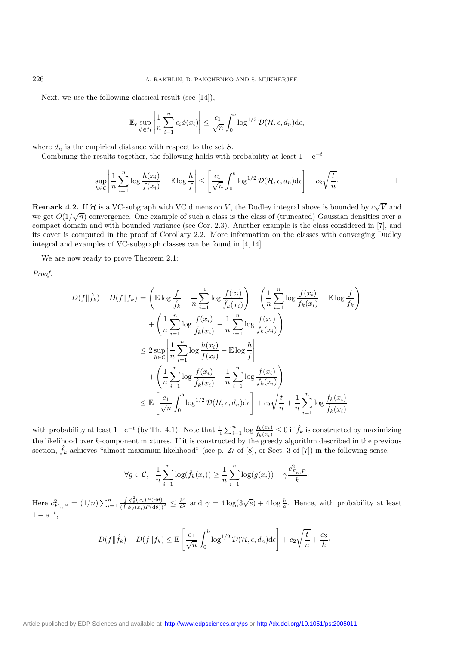Next, we use the following classical result (see [14]),

$$
\mathbb{E}_{\epsilon} \sup_{\phi \in \mathcal{H}} \left| \frac{1}{n} \sum_{i=1}^{n} \epsilon_{i} \phi(x_{i}) \right| \leq \frac{c_{1}}{\sqrt{n}} \int_{0}^{b} \log^{1/2} \mathcal{D}(\mathcal{H}, \epsilon, d_{n}) d\epsilon,
$$

where  $d_n$  is the empirical distance with respect to the set  $S$ .

Combining the results together, the following holds with probability at least  $1 - e^{-t}$ .

$$
\sup_{h \in \mathcal{C}} \left| \frac{1}{n} \sum_{i=1}^n \log \frac{h(x_i)}{f(x_i)} - \mathbb{E} \log \frac{h}{f} \right| \le \left[ \frac{c_1}{\sqrt{n}} \int_0^b \log^{1/2} \mathcal{D}(\mathcal{H}, \epsilon, d_n) d\epsilon \right] + c_2 \sqrt{\frac{t}{n}}.
$$

**Remark 4.2.** If H is a VC-subgraph with VC dimension V, the Dudley integral above is bounded by  $c\sqrt{ }$ V and **Nether A 4.2.** If  $\ell$  is a vC-subgraph with vC dimension v, the Dudley integral above is bounded by  $\ell$  v v and we get  $O(1/\sqrt{n})$  convergence. One example of such a class is the class of (truncated) Gaussian densities o compact domain and with bounded variance (see Cor. 2.3). Another example is the class considered in [7], and its cover is computed in the proof of Corollary 2.2. More information on the classes with converging Dudley integral and examples of VC-subgraph classes can be found in [4, 14].

We are now ready to prove Theorem 2.1:

*Proof.*

$$
D(f||\hat{f}_k) - D(f||f_k) = \left(\mathbb{E}\log\frac{f}{\hat{f}_k} - \frac{1}{n}\sum_{i=1}^n \log\frac{f(x_i)}{\hat{f}_k(x_i)}\right) + \left(\frac{1}{n}\sum_{i=1}^n \log\frac{f(x_i)}{f_k(x_i)} - \mathbb{E}\log\frac{f}{f_k}\right) \\
+ \left(\frac{1}{n}\sum_{i=1}^n \log\frac{f(x_i)}{\hat{f}_k(x_i)} - \frac{1}{n}\sum_{i=1}^n \log\frac{f(x_i)}{f_k(x_i)}\right) \\
\leq 2 \sup_{h \in \mathcal{C}} \left|\frac{1}{n}\sum_{i=1}^n \log\frac{h(x_i)}{f(x_i)} - \mathbb{E}\log\frac{h}{f}\right| \\
+ \left(\frac{1}{n}\sum_{i=1}^n \log\frac{f(x_i)}{\hat{f}_k(x_i)} - \frac{1}{n}\sum_{i=1}^n \log\frac{f(x_i)}{f_k(x_i)}\right) \\
\leq \mathbb{E}\left[\frac{c_1}{\sqrt{n}} \int_0^b \log^{1/2} \mathcal{D}(\mathcal{H}, \epsilon, d_n) d\epsilon\right] + c_2 \sqrt{\frac{t}{n}} + \frac{1}{n}\sum_{i=1}^n \log\frac{f_k(x_i)}{\hat{f}_k(x_i)}
$$

with probability at least  $1-e^{-t}$  (by Th. 4.1). Note that  $\frac{1}{n}\sum_{i=1}^{n}\log \frac{f_k(x_i)}{\hat{f}_k(x_i)} \leq 0$  if  $\hat{f}_k$  is constructed by maximizing the likelihood over k-component mixtures. If it is constructed by the greedy algorithm described in the previous section,  $\hat{f}_k$  achieves "almost maximum likelihood" (see p. 27 of [8], or Sect. 3 of [7]) in the following sense:

$$
\forall g \in C, \quad \frac{1}{n} \sum_{i=1}^{n} \log(\hat{f}_k(x_i)) \ge \frac{1}{n} \sum_{i=1}^{n} \log(g(x_i)) - \gamma \frac{c_{F_n, P}^2}{k}.
$$

Here  $c_{F_n,P}^2 = (1/n) \sum_{i=1}^n$  $\int \phi_\theta^2(x_i) P(\mathrm{d}\theta)$  $\frac{\int \phi_\theta^2(x_i) P(\mathrm{d}\theta)}{\int \phi_\theta(x_i) P(\mathrm{d}\theta)^2} \leq \frac{b^2}{a^2}$  and  $\gamma = 4 \log(3\sqrt{e}) + 4 \log \frac{b}{a}$ . Hence, with probability at least  $1 - e^{-t}$ ,

$$
D(f||\hat{f}_k) - D(f||f_k) \leq \mathbb{E}\left[\frac{c_1}{\sqrt{n}} \int_0^b \log^{1/2} \mathcal{D}(\mathcal{H}, \epsilon, d_n) d\epsilon\right] + c_2 \sqrt{\frac{t}{n}} + \frac{c_3}{k}.
$$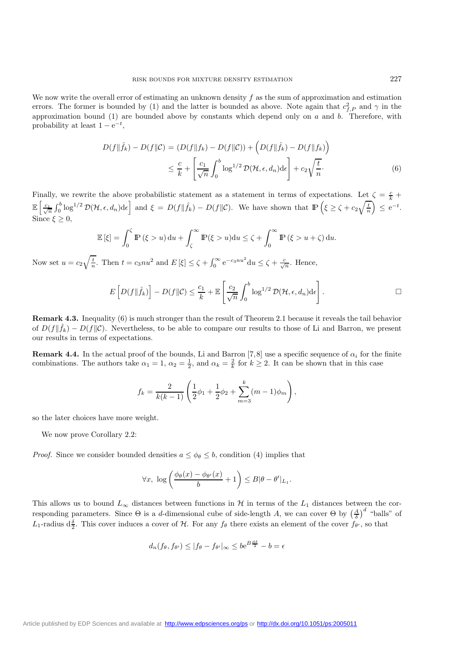We now write the overall error of estimating an unknown density  $f$  as the sum of approximation and estimation errors. The former is bounded by (1) and the latter is bounded as above. Note again that  $c_{f,P}^2$  and  $\gamma$  in the approximation bound (1) are bounded above by constants which depend only on  $a$  and  $b$ . Therefore, with probability at least  $1 - e^{-t}$ ,

$$
D(f||\hat{f}_k) - D(f||\mathcal{C}) = (D(f||f_k) - D(f||\mathcal{C})) + (D(f||\hat{f}_k) - D(f||f_k))
$$
  

$$
\leq \frac{c}{k} + \left[\frac{c_1}{\sqrt{n}} \int_0^b \log^{1/2} \mathcal{D}(\mathcal{H}, \epsilon, d_n) d\epsilon\right] + c_2 \sqrt{\frac{t}{n}}.
$$
 (6)

Finally, we rewrite the above probabilistic statement as a statement in terms of expectations. Let  $\zeta = \frac{c}{k} + \zeta$  $\mathbb{E}\left[\frac{c_1}{\sqrt{n}}\int_0^b \log^{1/2} \mathcal{D}(\mathcal{H}, \epsilon, d_n) d\epsilon\right]$  and  $\xi = D(f||\hat{f}_k) - D(f||\mathcal{C})$ . We have shown that  $\mathbb{P}\left(\xi \geq \zeta + c_2\sqrt{\frac{t}{n}}\right) \leq e^{-t}$ . Since  $\xi \geq 0$ ,

$$
\mathbb{E}[\xi] = \int_0^{\zeta} \mathbb{P}(\xi > u) du + \int_{\zeta}^{\infty} \mathbb{P}(\xi > u) du \le \zeta + \int_0^{\infty} \mathbb{P}(\xi > u + \zeta) du.
$$

Now set  $u = c_2 \sqrt{\frac{t}{n}}$ . Then  $t = c_3 n u^2$  and  $E[\xi] \le \zeta + \int_0^\infty e^{-c_3 n u^2} du \le \zeta + \frac{c}{\sqrt{n}}$ . Hence,

$$
E\left[D(f\|\hat{f}_k)\right] - D(f\|\mathcal{C}) \leq \frac{c_1}{k} + \mathbb{E}\left[\frac{c_2}{\sqrt{n}}\int_0^b \log^{1/2} \mathcal{D}(\mathcal{H}, \epsilon, d_n) d\epsilon\right].
$$

**Remark 4.3.** Inequality (6) is much stronger than the result of Theorem 2.1 because it reveals the tail behavior of  $D(f||\hat{f}_k) - D(f||\mathcal{C})$ . Nevertheless, to be able to compare our results to those of Li and Barron, we present our results in terms of expectations.

**Remark 4.4.** In the actual proof of the bounds, Li and Barron [7,8] use a specific sequence of  $\alpha_i$  for the finite combinations. The authors take  $\alpha_1 = 1$ ,  $\alpha_2 = \frac{1}{2}$ , and  $\alpha_k = \frac{2}{k}$  for  $k \ge 2$ . It can be shown that in this case

$$
f_k = \frac{2}{k(k-1)} \left( \frac{1}{2} \phi_1 + \frac{1}{2} \phi_2 + \sum_{m=3}^k (m-1) \phi_m \right),
$$

so the later choices have more weight.

We now prove Corollary 2.2:

*Proof.* Since we consider bounded densities  $a \leq \phi_{\theta} \leq b$ , condition (4) implies that

$$
\forall x, \ \log\left(\frac{\phi_\theta(x)-\phi_{\theta'}(x)}{b}+1\right)\leq B|\theta-\theta'|_{L_1}.
$$

This allows us to bound  $L_{\infty}$  distances between functions in H in terms of the  $L_1$  distances between the corresponding parameters. Since  $\Theta$  is a d-dimensional cube of side-length A, we can cover  $\Theta$  by  $\left(\frac{A}{\delta}\right)^d$  "balls" of  $L_1$ -radius  $d_2$ . This cover induces a cover of  $H$ . For any  $f_\theta$  there exists an element of the cover  $f_{\theta'}$ , so that

$$
d_n(f_{\theta}, f_{\theta'}) \le |f_{\theta} - f_{\theta'}|_{\infty} \le b e^{B \frac{d\delta}{2}} - b = \epsilon
$$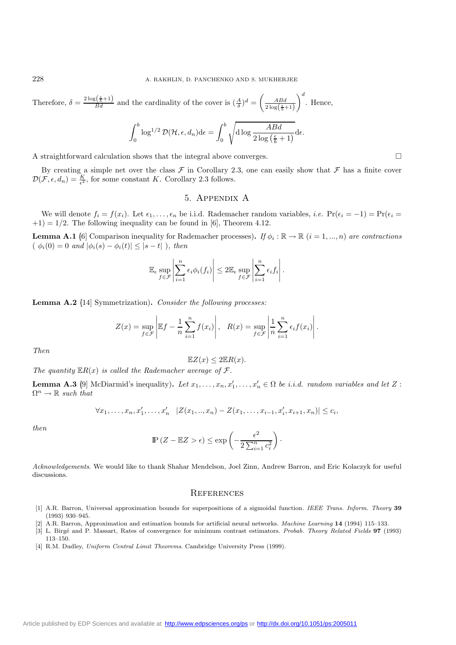Therefore,  $\delta = \frac{2 \log(\frac{\epsilon}{b} + 1)}{Bd}$  and the cardinality of the cover is  $(\frac{A}{\delta})^d = \left(\frac{ABd}{2 \log(\frac{\epsilon}{b} + 1)}\right)$  $\Big)^d$ . Hence,

$$
\int_0^b \log^{1/2} \mathcal{D}(\mathcal{H}, \epsilon, d_n) d\epsilon = \int_0^b \sqrt{d \log \frac{A B d}{2 \log \left(\frac{\epsilon}{b} + 1\right)}} d\epsilon.
$$

A straightforward calculation shows that the integral above converges.  $\Box$ 

By creating a simple net over the class  $\mathcal F$  in Corollary 2.3, one can easily show that  $\mathcal F$  has a finite cover  $\mathcal{D}(\mathcal{F}, \epsilon, d_n) = \frac{K}{\epsilon^2}$ , for some constant K. Corollary 2.3 follows.

## 5. Appendix A

We will denote  $f_i = f(x_i)$ . Let  $\epsilon_1, \ldots, \epsilon_n$  be i.i.d. Rademacher random variables, *i.e.*  $Pr(\epsilon_i = -1) = Pr(\epsilon_i = -1)$  $+1$ ) = 1/2. The following inequality can be found in [6], Theorem 4.12.

**Lemma A.1** (6) Comparison inequality for Rademacher processes). If  $\phi_i : \mathbb{R} \to \mathbb{R}$  ( $i = 1, ..., n$ ) are contractions  $(\phi_i(0) = 0 \text{ and } |\phi_i(s) - \phi_i(t)| \leq |s - t|)$ , then

$$
\mathbb{E}_{\epsilon} \sup_{f \in \mathcal{F}} \left| \sum_{i=1}^{n} \epsilon_{i} \phi_{i}(f_{i}) \right| \leq 2 \mathbb{E}_{\epsilon} \sup_{f \in \mathcal{F}} \left| \sum_{i=1}^{n} \epsilon_{i} f_{i} \right|.
$$

**Lemma A.2** (14) Symmetrization). *Consider the following processes:* 

$$
Z(x) = \sup_{f \in \mathcal{F}} \left| \mathbb{E} f - \frac{1}{n} \sum_{i=1}^{n} f(x_i) \right|, \quad R(x) = \sup_{f \in \mathcal{F}} \left| \frac{1}{n} \sum_{i=1}^{n} \epsilon_i f(x_i) \right|.
$$

*Then*

$$
\mathbb{E}Z(x) \le 2\mathbb{E}R(x).
$$

*The quantity*  $\mathbb{E}R(x)$  *is called the Rademacher average of*  $\mathcal{F}$ *.* 

**Lemma A.3** [9] McDiarmid's inequality). Let  $x_1, \ldots, x_n, x'_1, \ldots, x'_n \in \Omega$  be *i.i.d. random variables and let* Z:  $\Omega^n \to \mathbb{R}$  *such that* 

$$
\forall x_1, \ldots, x_n, x'_1, \ldots, x'_n \quad |Z(x_1, \ldots, x_n) - Z(x_1, \ldots, x_{i-1}, x'_i, x_{i+1}, x_n)| \leq c_i,
$$

*then*

$$
\mathbb{P}\left(Z - \mathbb{E}Z > \epsilon\right) \le \exp\left(-\frac{\epsilon^2}{2\sum_{i=1}^n c_i^2}\right).
$$

*Acknowledgements*. We would like to thank Shahar Mendelson, Joel Zinn, Andrew Barron, and Eric Kolaczyk for useful discussions.

## **REFERENCES**

- [1] A.R. Barron, Universal approximation bounds for superpositions of a sigmoidal function. IEEE Trans. Inform. Theory **39** (1993) 930–945.
- [2] A.R. Barron, Approximation and estimation bounds for artificial neural networks. Machine Learning **14** (1994) 115–133.
- [3] L. Birg´e and P. Massart, Rates of convergence for minimum contrast estimators. Probab. Theory Related Fields **97** (1993) 113–150.
- [4] R.M. Dudley, Uniform Central Limit Theorems. Cambridge University Press (1999).